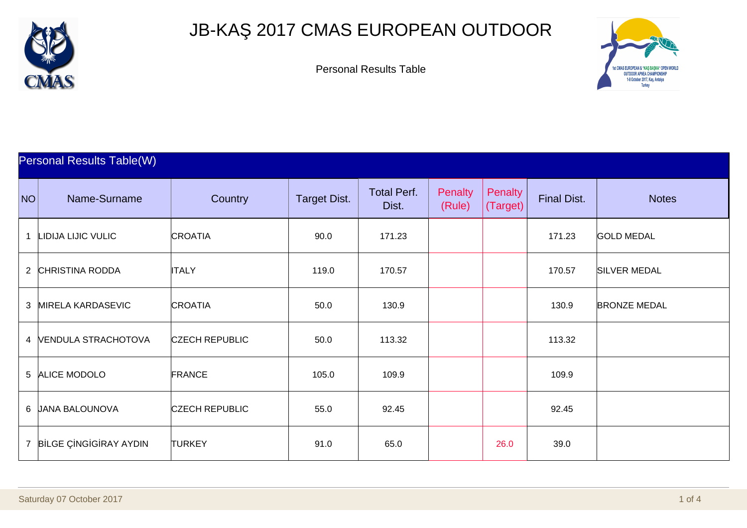

## JB-KA 2017 CMAS EUROPEAN OUTDOOR

Personal Results Table



|                | <b>Personal Results Table(W)</b> |                       |                     |                             |                          |                     |                    |                     |  |  |
|----------------|----------------------------------|-----------------------|---------------------|-----------------------------|--------------------------|---------------------|--------------------|---------------------|--|--|
| NO             | Name-Surname                     | Country               | <b>Target Dist.</b> | <b>Total Perf.</b><br>Dist. | <b>Penalty</b><br>(Rule) | Penalty<br>(Target) | <b>Final Dist.</b> | <b>Notes</b>        |  |  |
| 1              | LIDIJA LIJIC VULIC               | <b>CROATIA</b>        | 90.0                | 171.23                      |                          |                     | 171.23             | <b>GOLD MEDAL</b>   |  |  |
| $\overline{2}$ | <b>CHRISTINA RODDA</b>           | <b>ITALY</b>          | 119.0               | 170.57                      |                          |                     | 170.57             | <b>SILVER MEDAL</b> |  |  |
| $\mathbf{3}$   | <b>MIRELA KARDASEVIC</b>         | <b>CROATIA</b>        | 50.0                | 130.9                       |                          |                     | 130.9              | <b>BRONZE MEDAL</b> |  |  |
|                | 4 VENDULA STRACHOTOVA            | <b>CZECH REPUBLIC</b> | 50.0                | 113.32                      |                          |                     | 113.32             |                     |  |  |
|                | 5 ALICE MODOLO                   | <b>FRANCE</b>         | 105.0               | 109.9                       |                          |                     | 109.9              |                     |  |  |
|                | 6 JANA BALOUNOVA                 | <b>CZECH REPUBLIC</b> | 55.0                | 92.45                       |                          |                     | 92.45              |                     |  |  |
|                | 7 B LGE Ç NG G RAY AYDIN         | <b>TURKEY</b>         | 91.0                | 65.0                        |                          | 26.0                | 39.0               |                     |  |  |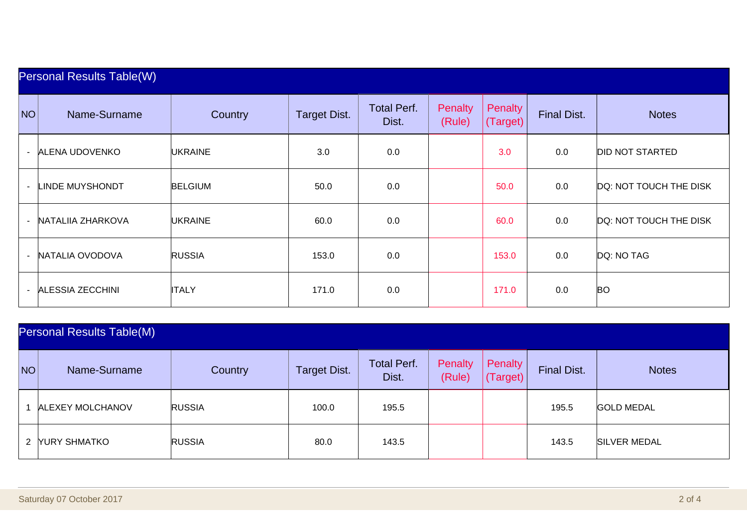|        | <b>Personal Results Table(W)</b> |                |                     |                             |                   |                     |                    |                        |  |  |  |
|--------|----------------------------------|----------------|---------------------|-----------------------------|-------------------|---------------------|--------------------|------------------------|--|--|--|
| NO     | Name-Surname                     | Country        | <b>Target Dist.</b> | <b>Total Perf.</b><br>Dist. | Penalty<br>(Rule) | Penalty<br>(Target) | <b>Final Dist.</b> | <b>Notes</b>           |  |  |  |
| $\sim$ | ALENA UDOVENKO                   | <b>UKRAINE</b> | 3.0                 | 0.0                         |                   | 3.0                 | 0.0                | <b>DID NOT STARTED</b> |  |  |  |
|        | LINDE MUYSHONDT                  | <b>BELGIUM</b> | 50.0                | 0.0                         |                   | 50.0                | 0.0                | DQ: NOT TOUCH THE DISK |  |  |  |
|        | NATALIIA ZHARKOVA                | <b>UKRAINE</b> | 60.0                | 0.0                         |                   | 60.0                | 0.0                | DQ: NOT TOUCH THE DISK |  |  |  |
|        | NATALIA OVODOVA                  | <b>RUSSIA</b>  | 153.0               | 0.0                         |                   | 153.0               | 0.0                | DQ: NO TAG             |  |  |  |
|        | <b>ALESSIA ZECCHINI</b>          | <b>ITALY</b>   | 171.0               | 0.0                         |                   | 171.0               | 0.0                | <b>BO</b>              |  |  |  |

| <b>Personal Results Table(M)</b> |                         |                |                     |                             |                          |                     |                    |                     |  |
|----------------------------------|-------------------------|----------------|---------------------|-----------------------------|--------------------------|---------------------|--------------------|---------------------|--|
| <b>NO</b>                        | Name-Surname            | <b>Country</b> | <b>Target Dist.</b> | <b>Total Perf.</b><br>Dist. | <b>Penalty</b><br>(Rule) | Penalty<br>(Target) | <b>Final Dist.</b> | <b>Notes</b>        |  |
|                                  | <b>ALEXEY MOLCHANOV</b> | <b>RUSSIA</b>  | 100.0               | 195.5                       |                          |                     | 195.5              | <b>GOLD MEDAL</b>   |  |
|                                  | 2 YURY SHMATKO          | <b>RUSSIA</b>  | 80.0                | 143.5                       |                          |                     | 143.5              | <b>SILVER MEDAL</b> |  |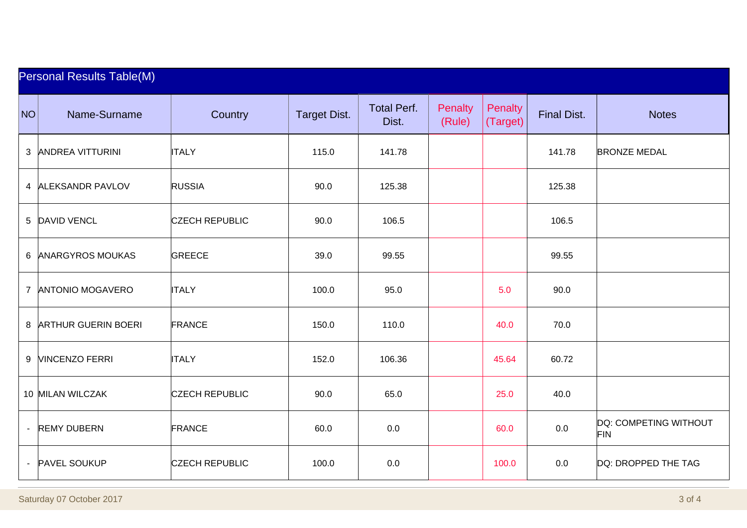|    | <b>Personal Results Table(M)</b> |                       |                     |                             |                   |                     |                    |                                     |  |  |
|----|----------------------------------|-----------------------|---------------------|-----------------------------|-------------------|---------------------|--------------------|-------------------------------------|--|--|
| NO | Name-Surname                     | Country               | <b>Target Dist.</b> | <b>Total Perf.</b><br>Dist. | Penalty<br>(Rule) | Penalty<br>(Target) | <b>Final Dist.</b> | <b>Notes</b>                        |  |  |
|    | 3 ANDREA VITTURINI               | <b>ITALY</b>          | 115.0               | 141.78                      |                   |                     | 141.78             | <b>BRONZE MEDAL</b>                 |  |  |
|    | 4 ALEKSANDR PAVLOV               | <b>RUSSIA</b>         | 90.0                | 125.38                      |                   |                     | 125.38             |                                     |  |  |
|    | 5 DAVID VENCL                    | <b>CZECH REPUBLIC</b> | 90.0                | 106.5                       |                   |                     | 106.5              |                                     |  |  |
| 6  | <b>ANARGYROS MOUKAS</b>          | <b>GREECE</b>         | 39.0                | 99.55                       |                   |                     | 99.55              |                                     |  |  |
|    | 7 ANTONIO MOGAVERO               | <b>ITALY</b>          | 100.0               | 95.0                        |                   | 5.0                 | 90.0               |                                     |  |  |
|    | 8 ARTHUR GUERIN BOERI            | <b>FRANCE</b>         | 150.0               | 110.0                       |                   | 40.0                | 70.0               |                                     |  |  |
| 9  | <b>VINCENZO FERRI</b>            | <b>ITALY</b>          | 152.0               | 106.36                      |                   | 45.64               | 60.72              |                                     |  |  |
|    | 10 MILAN WILCZAK                 | <b>CZECH REPUBLIC</b> | 90.0                | 65.0                        |                   | 25.0                | 40.0               |                                     |  |  |
|    | <b>REMY DUBERN</b>               | <b>FRANCE</b>         | 60.0                | 0.0                         |                   | 60.0                | 0.0                | DQ: COMPETING WITHOUT<br><b>FIN</b> |  |  |
|    | <b>PAVEL SOUKUP</b>              | <b>CZECH REPUBLIC</b> | 100.0               | 0.0                         |                   | 100.0               | 0.0                | DQ: DROPPED THE TAG                 |  |  |